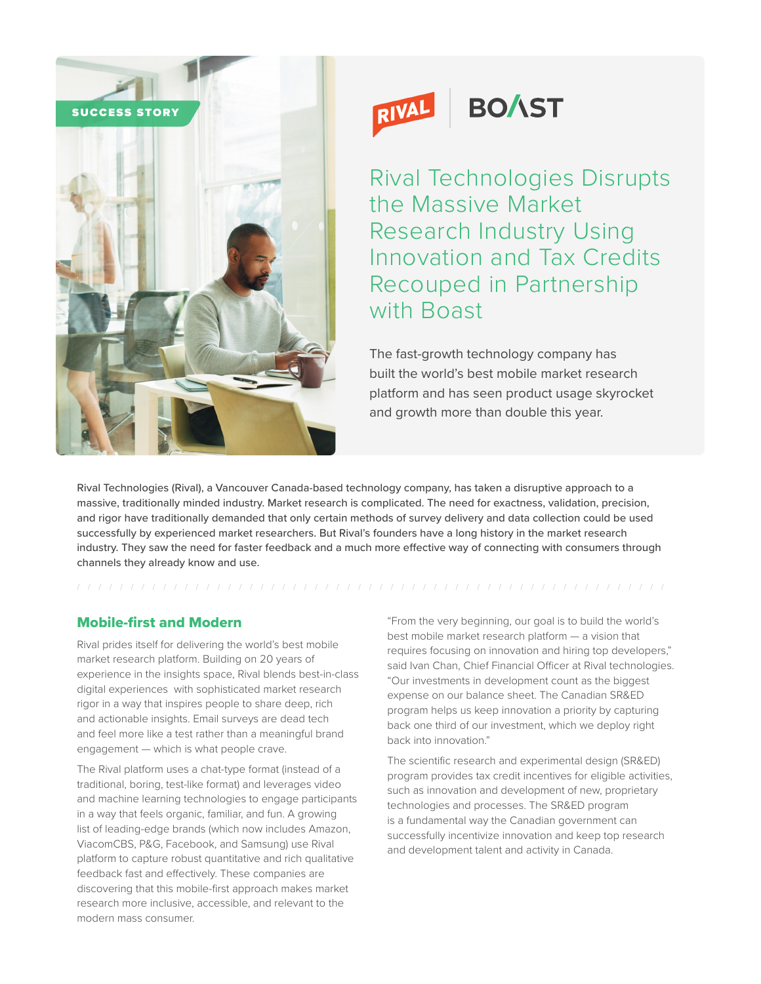



## Rival Technologies Disrupts the Massive Market Research Industry Using Innovation and Tax Credits Recouped in Partnership with Boast

The fast-growth technology company has built the world's best mobile market research platform and has seen product usage skyrocket and growth more than double this year.

Rival Technologies (Rival), a Vancouver Canada-based technology company, has taken a disruptive approach to a massive, traditionally minded industry. Market research is complicated. The need for exactness, validation, precision, and rigor have traditionally demanded that only certain methods of survey delivery and data collection could be used successfully by experienced market researchers. But Rival's founders have a long history in the market research industry. They saw the need for faster feedback and a much more effective way of connecting with consumers through channels they already know and use.

## Mobile-first and Modern

Rival prides itself for delivering the world's best mobile market research platform. Building on 20 years of experience in the insights space, Rival blends best-in-class digital experiences with sophisticated market research rigor in a way that inspires people to share deep, rich and actionable insights. Email surveys are dead tech and feel more like a test rather than a meaningful brand engagement — which is what people crave.

The Rival platform uses a chat-type format (instead of a traditional, boring, test-like format) and leverages video and machine learning technologies to engage participants in a way that feels organic, familiar, and fun. A growing list of leading-edge brands (which now includes Amazon, ViacomCBS, P&G, Facebook, and Samsung) use Rival platform to capture robust quantitative and rich qualitative feedback fast and effectively. These companies are discovering that this mobile-first approach makes market research more inclusive, accessible, and relevant to the modern mass consumer.

"From the very beginning, our goal is to build the world's best mobile market research platform — a vision that requires focusing on innovation and hiring top developers," said Ivan Chan, Chief Financial Officer at Rival technologies. "Our investments in development count as the biggest expense on our balance sheet. The Canadian SR&ED program helps us keep innovation a priority by capturing back one third of our investment, which we deploy right back into innovation."

The scientific research and experimental design (SR&ED) program provides tax credit incentives for eligible activities, such as innovation and development of new, proprietary technologies and processes. The SR&ED program is a fundamental way the Canadian government can successfully incentivize innovation and keep top research and development talent and activity in Canada.